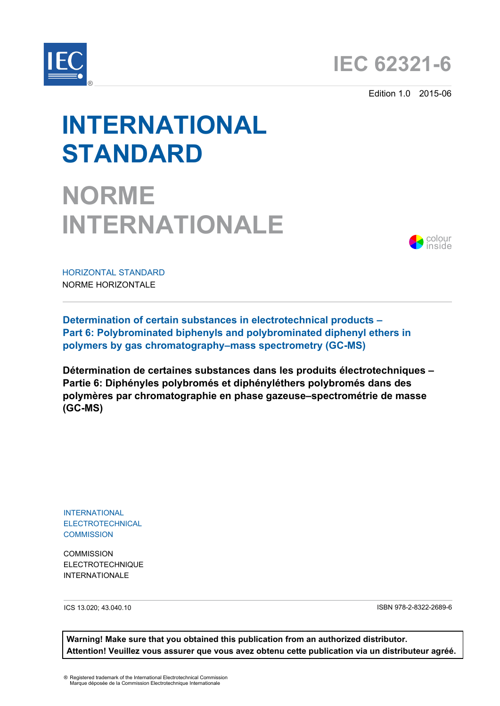

Edition 1.0 2015-06

# **INTERNATIONAL STANDARD**

# **NORME INTERNATIONALE**



HORIZONTAL STANDARD NORME HORIZONTALE

**Determination of certain substances in electrotechnical products – Part 6: Polybrominated biphenyls and polybrominated diphenyl ethers in polymers by gas chromatography–mass spectrometry (GC-MS)**

**Détermination de certaines substances dans les produits électrotechniques – Partie 6: Diphényles polybromés et diphényléthers polybromés dans des polymères par chromatographie en phase gazeuse–spectrométrie de masse (GC-MS)** 

INTERNATIONAL **ELECTROTECHNICAL COMMISSION** 

**COMMISSION** ELECTROTECHNIQUE INTERNATIONALE

ICS 13.020; 43.040.10 ISBN 978-2-8322-2689-6

**Warning! Make sure that you obtained this publication from an authorized distributor. Attention! Veuillez vous assurer que vous avez obtenu cette publication via un distributeur agréé.**

® Registered trademark of the International Electrotechnical Commission Marque déposée de la Commission Electrotechnique Internationale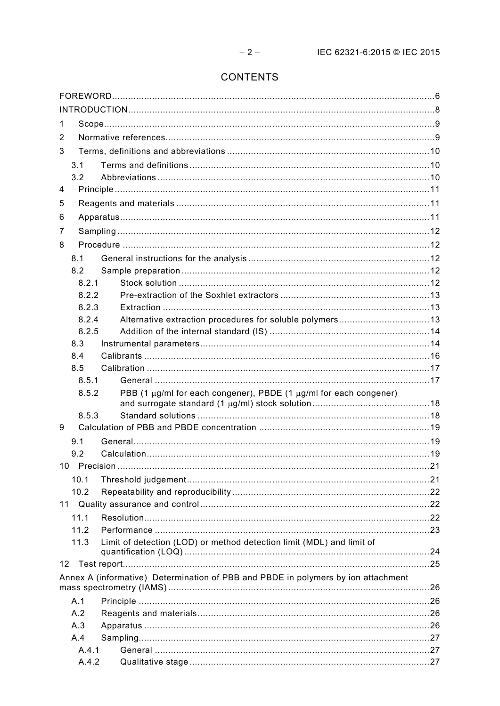# CONTENTS

| 1            |                                                                                   |     |
|--------------|-----------------------------------------------------------------------------------|-----|
| 2            |                                                                                   |     |
| 3            |                                                                                   |     |
| 3.1          |                                                                                   |     |
| 3.2          |                                                                                   |     |
| 4            |                                                                                   |     |
| 5            |                                                                                   |     |
| 6            |                                                                                   |     |
| 7            |                                                                                   |     |
| 8            |                                                                                   |     |
| 8.1          |                                                                                   |     |
| 8.2          |                                                                                   |     |
| 8.2.1        |                                                                                   |     |
| 8.2.2        |                                                                                   |     |
| 8.2.3        |                                                                                   |     |
| 8.2.4        |                                                                                   |     |
| 8.2.5        |                                                                                   |     |
| 8.3          |                                                                                   |     |
| 8.4          |                                                                                   |     |
| 8.5          |                                                                                   |     |
| 8.5.1        |                                                                                   |     |
| 8.5.2        | PBB (1 µg/ml for each congener), PBDE (1 µg/ml for each congener)                 |     |
| 8.5.3        |                                                                                   |     |
| 9            |                                                                                   |     |
| 9.1          |                                                                                   |     |
| 9.2          |                                                                                   |     |
| 10 Precision |                                                                                   | .21 |
| 10.1         |                                                                                   |     |
| 10.2         |                                                                                   |     |
|              |                                                                                   |     |
| 11.1         |                                                                                   |     |
| 11.2         |                                                                                   |     |
| 11.3         | Limit of detection (LOD) or method detection limit (MDL) and limit of             |     |
|              |                                                                                   |     |
| 12           |                                                                                   |     |
|              | Annex A (informative) Determination of PBB and PBDE in polymers by ion attachment |     |
| A.1          |                                                                                   |     |
| A.2          |                                                                                   |     |
| A.3          |                                                                                   |     |
| A.4          |                                                                                   |     |
| A.4.1        |                                                                                   |     |
| A.4.2        |                                                                                   |     |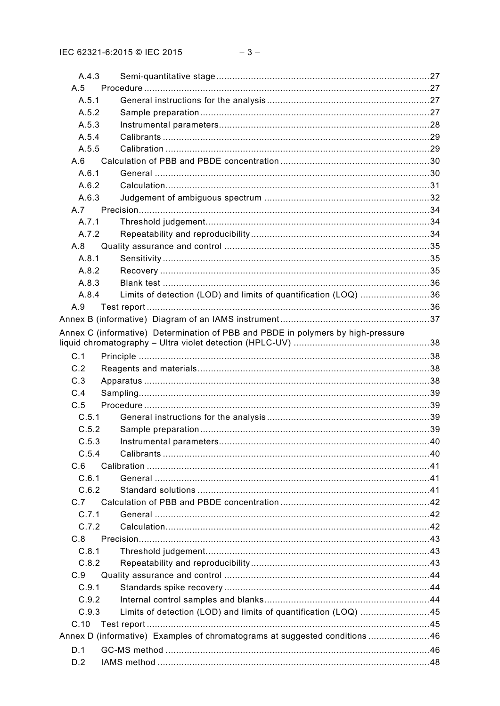| A.4.3 |                                                                                  |  |
|-------|----------------------------------------------------------------------------------|--|
| A.5   |                                                                                  |  |
| A.5.1 |                                                                                  |  |
| A.5.2 |                                                                                  |  |
| A.5.3 |                                                                                  |  |
| A.5.4 |                                                                                  |  |
| A.5.5 |                                                                                  |  |
| A.6   |                                                                                  |  |
| A.6.1 |                                                                                  |  |
| A.6.2 |                                                                                  |  |
| A.6.3 |                                                                                  |  |
| A.7   |                                                                                  |  |
| A.7.1 |                                                                                  |  |
| A.7.2 |                                                                                  |  |
| A.8   |                                                                                  |  |
| A.8.1 |                                                                                  |  |
| A.8.2 |                                                                                  |  |
| A.8.3 |                                                                                  |  |
| A.8.4 | Limits of detection (LOD) and limits of quantification (LOQ) 36                  |  |
| A.9   |                                                                                  |  |
|       |                                                                                  |  |
|       | Annex C (informative) Determination of PBB and PBDE in polymers by high-pressure |  |
| C.1   |                                                                                  |  |
| C.2   |                                                                                  |  |
| C.3   |                                                                                  |  |
| C.4   |                                                                                  |  |
| C.5   |                                                                                  |  |
| C.5.1 |                                                                                  |  |
| C.5.2 |                                                                                  |  |
| C.5.3 |                                                                                  |  |
| C.5.4 |                                                                                  |  |
| C.6   |                                                                                  |  |
| C.6.1 |                                                                                  |  |
| C.6.2 |                                                                                  |  |
| C.7   |                                                                                  |  |
| C.7.1 |                                                                                  |  |
| C.7.2 |                                                                                  |  |
| C.8   |                                                                                  |  |
| C.8.1 |                                                                                  |  |
| C.8.2 |                                                                                  |  |
| C.9   |                                                                                  |  |
| C.9.1 |                                                                                  |  |
| C.9.2 |                                                                                  |  |
| C.9.3 | Limits of detection (LOD) and limits of quantification (LOQ) 45                  |  |
|       |                                                                                  |  |
|       | Annex D (informative) Examples of chromatograms at suggested conditions 46       |  |
| D.1   |                                                                                  |  |
| D.2   |                                                                                  |  |
|       |                                                                                  |  |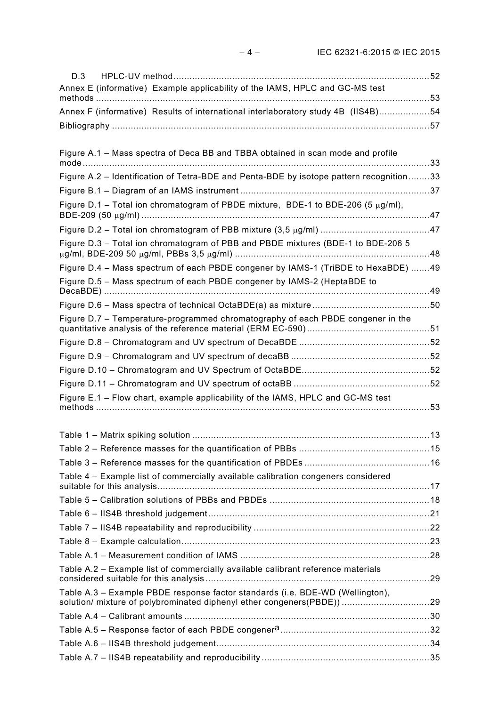| D.3  HPLC-UV method…………………………………………………………………………………………52                           |  |
|-----------------------------------------------------------------------------------|--|
| Annex E (informative) Example applicability of the IAMS, HPLC and GC-MS test      |  |
| Annex F (informative) Results of international interlaboratory study 4B (IIS4B)54 |  |
|                                                                                   |  |

| Figure A.1 - Mass spectra of Deca BB and TBBA obtained in scan mode and profile                                                                         |  |
|---------------------------------------------------------------------------------------------------------------------------------------------------------|--|
| Figure A.2 - Identification of Tetra-BDE and Penta-BDE by isotope pattern recognition33                                                                 |  |
|                                                                                                                                                         |  |
| Figure D.1 - Total ion chromatogram of PBDE mixture, BDE-1 to BDE-206 (5 µg/ml),                                                                        |  |
|                                                                                                                                                         |  |
| Figure D.3 - Total ion chromatogram of PBB and PBDE mixtures (BDE-1 to BDE-206 5<br>μg/ml, BDE-209 50 μg/ml, PBBs 3,5 μg/ml) ………………………………………………………………48 |  |
| Figure D.4 - Mass spectrum of each PBDE congener by IAMS-1 (TriBDE to HexaBDE) 49                                                                       |  |
| Figure D.5 - Mass spectrum of each PBDE congener by IAMS-2 (HeptaBDE to                                                                                 |  |
|                                                                                                                                                         |  |
| Figure D.7 - Temperature-programmed chromatography of each PBDE congener in the                                                                         |  |
|                                                                                                                                                         |  |
|                                                                                                                                                         |  |
|                                                                                                                                                         |  |
|                                                                                                                                                         |  |
| Figure E.1 – Flow chart, example applicability of the IAMS, HPLC and GC-MS test                                                                         |  |
|                                                                                                                                                         |  |
|                                                                                                                                                         |  |
|                                                                                                                                                         |  |
|                                                                                                                                                         |  |
| Table 4 - Example list of commercially available calibration congeners considered                                                                       |  |
|                                                                                                                                                         |  |
|                                                                                                                                                         |  |
|                                                                                                                                                         |  |
|                                                                                                                                                         |  |
|                                                                                                                                                         |  |
| Table A.2 - Example list of commercially available calibrant reference materials                                                                        |  |
| Table A.3 - Example PBDE response factor standards (i.e. BDE-WD (Wellington),<br>solution/ mixture of polybrominated diphenyl ether congeners(PBDE)) 29 |  |
|                                                                                                                                                         |  |
|                                                                                                                                                         |  |
|                                                                                                                                                         |  |
|                                                                                                                                                         |  |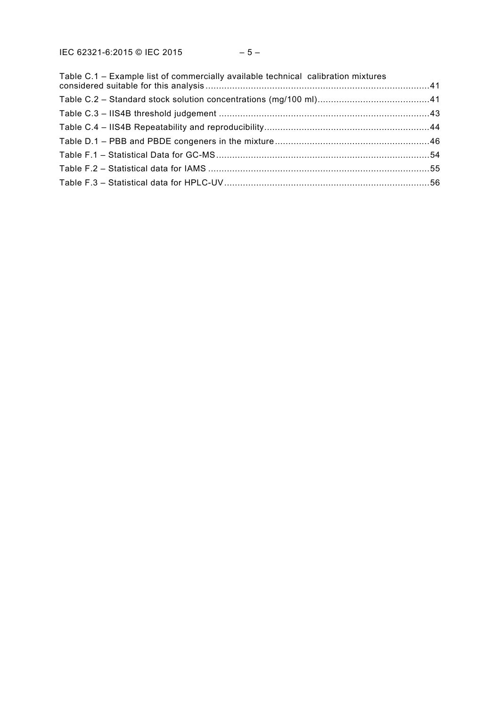| Table C.1 - Example list of commercially available technical calibration mixtures |  |
|-----------------------------------------------------------------------------------|--|
|                                                                                   |  |
|                                                                                   |  |
|                                                                                   |  |
|                                                                                   |  |
|                                                                                   |  |
|                                                                                   |  |
|                                                                                   |  |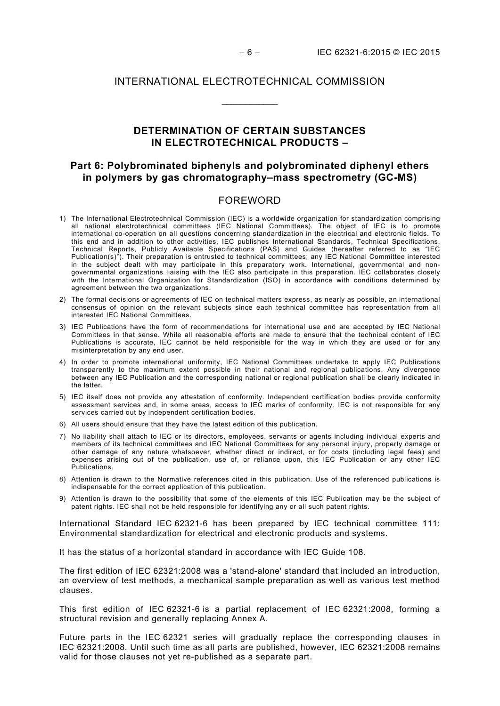## INTERNATIONAL ELECTROTECHNICAL COMMISSION

 $\mathcal{L}=\mathcal{L}^{\mathcal{L}}$ 

# DETERMINATION OF CERTAIN SUBSTANCES IN ELECTROTECHNICAL PRODUCTS –

# Part 6: Polybrominated biphenyls and polybrominated diphenyl ethers in polymers by gas chromatography–mass spectrometry (GC-MS)

# FOREWORD

- <span id="page-5-0"></span>1) The International Electrotechnical Commission (IEC) is a worldwide organization for standardization comprising all national electrotechnical committees (IEC National Committees). The object of IEC is to promote international co-operation on all questions concerning standardization in the electrical and electronic fields. To this end and in addition to other activities, IEC publishes International Standards, Technical Specifications, Technical Reports, Publicly Available Specifications (PAS) and Guides (hereafter referred to as "IEC Publication(s)"). Their preparation is entrusted to technical committees; any IEC National Committee interested in the subject dealt with may participate in this preparatory work. International, governmental and nongovernmental organizations liaising with the IEC also participate in this preparation. IEC collaborates closely with the International Organization for Standardization (ISO) in accordance with conditions determined by agreement between the two organizations.
- 2) The formal decisions or agreements of IEC on technical matters express, as nearly as possible, an international consensus of opinion on the relevant subjects since each technical committee has representation from all interested IEC National Committees.
- 3) IEC Publications have the form of recommendations for international use and are accepted by IEC National Committees in that sense. While all reasonable efforts are made to ensure that the technical content of IEC Publications is accurate, IEC cannot be held responsible for the way in which they are used or for any misinterpretation by any end user.
- 4) In order to promote international uniformity, IEC National Committees undertake to apply IEC Publications transparently to the maximum extent possible in their national and regional publications. Any divergence between any IEC Publication and the corresponding national or regional publication shall be clearly indicated in the latter.
- 5) IEC itself does not provide any attestation of conformity. Independent certification bodies provide conformity assessment services and, in some areas, access to IEC marks of conformity. IEC is not responsible for any services carried out by independent certification bodies.
- 6) All users should ensure that they have the latest edition of this publication.
- 7) No liability shall attach to IEC or its directors, employees, servants or agents including individual experts and members of its technical committees and IEC National Committees for any personal injury, property damage or other damage of any nature whatsoever, whether direct or indirect, or for costs (including legal fees) and expenses arising out of the publication, use of, or reliance upon, this IEC Publication or any other IEC Publications.
- 8) Attention is drawn to the Normative references cited in this publication. Use of the referenced publications is indispensable for the correct application of this publication.
- 9) Attention is drawn to the possibility that some of the elements of this IEC Publication may be the subject of patent rights. IEC shall not be held responsible for identifying any or all such patent rights.

International Standard IEC 62321-6 has been prepared by IEC technical committee 111: Environmental standardization for electrical and electronic products and systems.

It has the status of a horizontal standard in accordance with IEC Guide 108.

The first edition of IEC 62321:2008 was a 'stand-alone' standard that included an introduction, an overview of test methods, a mechanical sample preparation as well as various test method clauses.

This first edition of IEC 62321-6 is a partial replacement of IEC 62321:2008, forming a structural revision and generally replacing Annex A.

Future parts in the IEC 62321 series will gradually replace the corresponding clauses in IEC 62321:2008. Until such time as all parts are published, however, IEC 62321:2008 remains valid for those clauses not yet re-published as a separate part.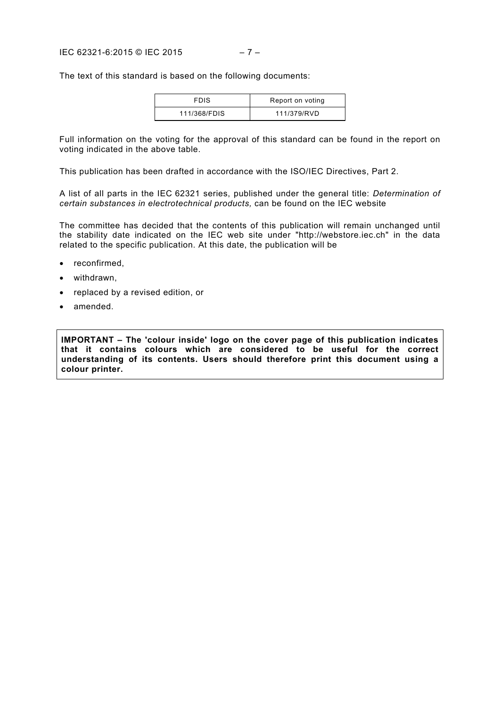The text of this standard is based on the following documents:

| <b>FDIS</b>  | Report on voting |
|--------------|------------------|
| 111/368/FDIS | 111/379/RVD      |

Full information on the voting for the approval of this standard can be found in the report on voting indicated in the above table.

This publication has been drafted in accordance with the ISO/IEC Directives, Part 2.

A list of all parts in the IEC 62321 series, published under the general title: *Determination of certain substances in electrotechnical products,* can be found on the IEC website

The committee has decided that the contents of this publication will remain unchanged until the stability date indicated on the IEC web site under "http://webstore.iec.ch" in the data related to the specific publication. At this date, the publication will be

- reconfirmed,
- withdrawn,
- replaced by a revised edition, or
- amended.

**IMPORTANT – The 'colour inside' logo on the cover page of this publication indicates that it contains colours which are considered to be useful for the correct understanding of its contents. Users should therefore print this document using a colour printer.**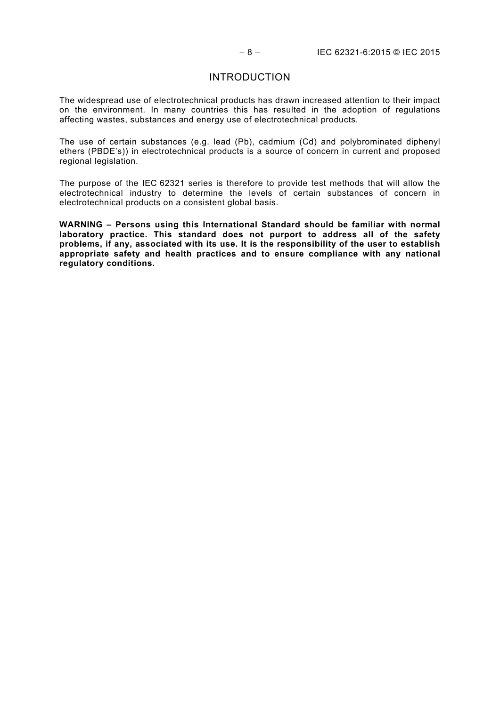### INTRODUCTION

<span id="page-7-0"></span>The widespread use of electrotechnical products has drawn increased attention to their impact on the environment. In many countries this has resulted in the adoption of regulations affecting wastes, substances and energy use of electrotechnical products.

The use of certain substances (e.g. lead (Pb), cadmium (Cd) and polybrominated diphenyl ethers (PBDE's)) in electrotechnical products is a source of concern in current and proposed regional legislation.

The purpose of the IEC 62321 series is therefore to provide test methods that will allow the electrotechnical industry to determine the levels of certain substances of concern in electrotechnical products on a consistent global basis.

**WARNING – Persons using this International Standard should be familiar with normal laboratory practice. This standard does not purport to address all of the safety problems, if any, associated with its use. It is the responsibility of the user to establish appropriate safety and health practices and to ensure compliance with any national regulatory conditions.**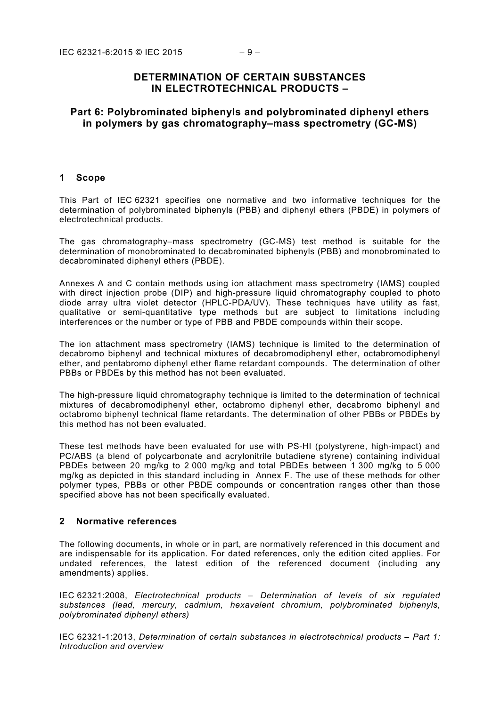# **DETERMINATION OF CERTAIN SUBSTANCES IN ELECTROTECHNICAL PRODUCTS –**

# **Part 6: Polybrominated biphenyls and polybrominated diphenyl ethers in polymers by gas chromatography–mass spectrometry (GC-MS)**

## <span id="page-8-0"></span>**1 Scope**

This Part of IEC 62321 specifies one normative and two informative techniques for the determination of polybrominated biphenyls (PBB) and diphenyl ethers (PBDE) in polymers of electrotechnical products.

The gas chromatography–mass spectrometry (GC-MS) test method is suitable for the determination of monobrominated to decabrominated biphenyls (PBB) and monobrominated to decabrominated diphenyl ethers (PBDE).

Annexes A and C contain methods using ion attachment mass spectrometry (IAMS) coupled with direct injection probe (DIP) and high-pressure liquid chromatography coupled to photo diode array ultra violet detector (HPLC-PDA/UV). These techniques have utility as fast, qualitative or semi-quantitative type methods but are subject to limitations including interferences or the number or type of PBB and PBDE compounds within their scope.

The ion attachment mass spectrometry (IAMS) technique is limited to the determination of decabromo biphenyl and technical mixtures of decabromodiphenyl ether, octabromodiphenyl ether, and pentabromo diphenyl ether flame retardant compounds. The determination of other PBBs or PBDEs by this method has not been evaluated.

The high-pressure liquid chromatography technique is limited to the determination of technical mixtures of decabromodiphenyl ether, octabromo diphenyl ether, decabromo biphenyl and octabromo biphenyl technical flame retardants. The determination of other PBBs or PBDEs by this method has not been evaluated.

These test methods have been evaluated for use with PS-HI (polystyrene, high-impact) and PC/ABS (a blend of polycarbonate and acrylonitrile butadiene styrene) containing individual PBDEs between 20 mg/kg to 2 000 mg/kg and total PBDEs between 1 300 mg/kg to 5 000 mg/kg as depicted in this standard including in Annex F. The use of these methods for other polymer types, PBBs or other PBDE compounds or concentration ranges other than those specified above has not been specifically evaluated.

#### <span id="page-8-1"></span>**2 Normative references**

The following documents, in whole or in part, are normatively referenced in this document and are indispensable for its application. For dated references, only the edition cited applies. For undated references, the latest edition of the referenced document (including any amendments) applies.

IEC 62321:2008, *Electrotechnical products – Determination of levels of six regulated substances (lead, mercury, cadmium, hexavalent chromium, polybrominated biphenyls, polybrominated diphenyl ethers)* 

IEC 62321-1:2013, *Determination of certain substances in electrotechnical products – Part 1: Introduction and overview*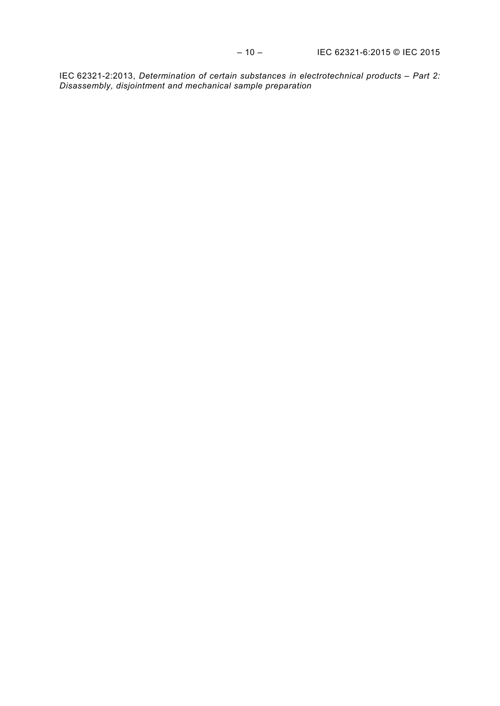<span id="page-9-2"></span><span id="page-9-1"></span><span id="page-9-0"></span>IEC 62321-2:2013, *Determination of certain substances in electrotechnical products – Part 2: Disassembly, disjointment and mechanical sample preparation*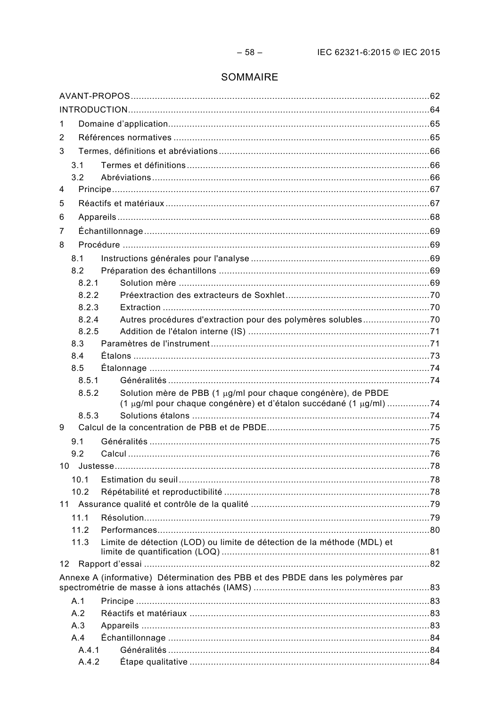# SOMMAIRE

| 1                                                                               |  |
|---------------------------------------------------------------------------------|--|
| 2                                                                               |  |
| 3                                                                               |  |
| 3.1                                                                             |  |
| 3.2                                                                             |  |
| 4                                                                               |  |
| 5                                                                               |  |
| 6                                                                               |  |
| $\overline{7}$                                                                  |  |
| 8                                                                               |  |
| 8.1                                                                             |  |
| 8.2                                                                             |  |
| 8.2.1                                                                           |  |
| 8.2.2                                                                           |  |
| 8.2.3                                                                           |  |
| 8.2.4                                                                           |  |
| 8.2.5                                                                           |  |
| 8.3                                                                             |  |
| 8.4                                                                             |  |
| 8.5<br>8.5.1                                                                    |  |
| Solution mère de PBB (1 µg/ml pour chaque congénère), de PBDE<br>8.5.2          |  |
| (1 μg/ml pour chaque congénère) et d'étalon succédané (1 μg/ml) 74              |  |
| 8.5.3                                                                           |  |
| 9                                                                               |  |
| 9.1                                                                             |  |
| 9.2                                                                             |  |
| 10 Justesse                                                                     |  |
| 10.1                                                                            |  |
| 10.2                                                                            |  |
|                                                                                 |  |
| 11.1                                                                            |  |
| 11.2                                                                            |  |
| Limite de détection (LOD) ou limite de détection de la méthode (MDL) et<br>11.3 |  |
| 12                                                                              |  |
| Annexe A (informative) Détermination des PBB et des PBDE dans les polymères par |  |
| A.1                                                                             |  |
| A.2                                                                             |  |
| A.3                                                                             |  |
| A.4                                                                             |  |
| A.4.1                                                                           |  |
| A.4.2                                                                           |  |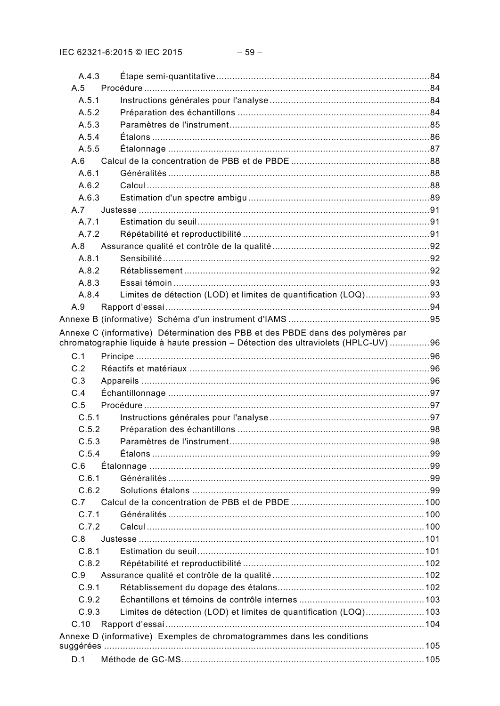| A.4.3 |                                                                                                                                                                       |  |
|-------|-----------------------------------------------------------------------------------------------------------------------------------------------------------------------|--|
| A.5   |                                                                                                                                                                       |  |
| A.5.1 |                                                                                                                                                                       |  |
| A.5.2 |                                                                                                                                                                       |  |
| A.5.3 |                                                                                                                                                                       |  |
| A.5.4 |                                                                                                                                                                       |  |
| A.5.5 |                                                                                                                                                                       |  |
| A.6   |                                                                                                                                                                       |  |
| A.6.1 |                                                                                                                                                                       |  |
| A.6.2 |                                                                                                                                                                       |  |
| A.6.3 |                                                                                                                                                                       |  |
| A.7   |                                                                                                                                                                       |  |
| A.7.1 |                                                                                                                                                                       |  |
| A.7.2 |                                                                                                                                                                       |  |
| A.8   |                                                                                                                                                                       |  |
| A.8.1 |                                                                                                                                                                       |  |
| A.8.2 |                                                                                                                                                                       |  |
| A.8.3 |                                                                                                                                                                       |  |
| A.8.4 |                                                                                                                                                                       |  |
| A.9   |                                                                                                                                                                       |  |
|       |                                                                                                                                                                       |  |
|       | Annexe C (informative) Détermination des PBB et des PBDE dans des polymères par<br>chromatographie liquide à haute pression - Détection des ultraviolets (HPLC-UV) 96 |  |
| C.1   |                                                                                                                                                                       |  |
| C.2   |                                                                                                                                                                       |  |
| C.3   |                                                                                                                                                                       |  |
| C.4   |                                                                                                                                                                       |  |
| C.5   |                                                                                                                                                                       |  |
| C.5.1 |                                                                                                                                                                       |  |
| C.5.2 |                                                                                                                                                                       |  |
| C.5.3 |                                                                                                                                                                       |  |
| C.5.4 |                                                                                                                                                                       |  |
| C.6   |                                                                                                                                                                       |  |
| C.6.1 |                                                                                                                                                                       |  |
| C.6.2 |                                                                                                                                                                       |  |
| C.7   |                                                                                                                                                                       |  |
| C.7.1 |                                                                                                                                                                       |  |
| C.7.2 |                                                                                                                                                                       |  |
| C.8   |                                                                                                                                                                       |  |
| C.8.1 |                                                                                                                                                                       |  |
| C.8.2 |                                                                                                                                                                       |  |
| C.9   |                                                                                                                                                                       |  |
| C.9.1 |                                                                                                                                                                       |  |
| C.9.2 |                                                                                                                                                                       |  |
| C.9.3 | Limites de détection (LOD) et limites de quantification (LOQ)103                                                                                                      |  |
| C.10  |                                                                                                                                                                       |  |
|       | Annexe D (informative) Exemples de chromatogrammes dans les conditions                                                                                                |  |
| D.1   |                                                                                                                                                                       |  |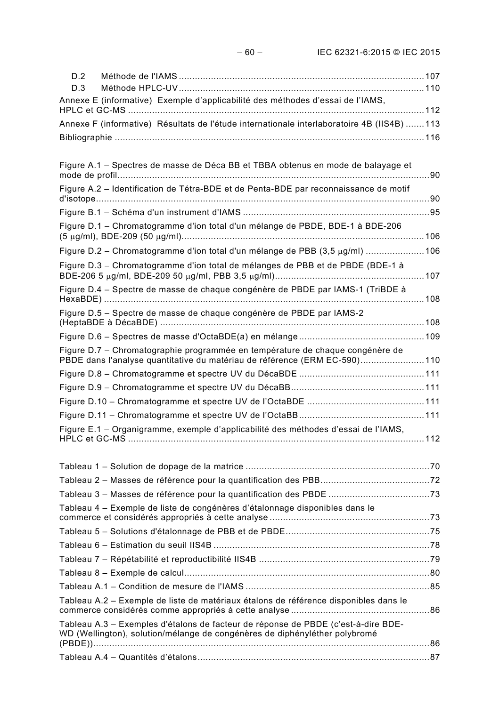| D.2                                                                                                                                                             |  |
|-----------------------------------------------------------------------------------------------------------------------------------------------------------------|--|
| D.3                                                                                                                                                             |  |
| Annexe E (informative) Exemple d'applicabilité des méthodes d'essai de l'IAMS,                                                                                  |  |
| Annexe F (informative) Résultats de l'étude internationale interlaboratoire 4B (IIS4B) 113                                                                      |  |
|                                                                                                                                                                 |  |
|                                                                                                                                                                 |  |
| Figure A.1 – Spectres de masse de Déca BB et TBBA obtenus en mode de balayage et                                                                                |  |
| Figure A.2 - Identification de Tétra-BDE et de Penta-BDE par reconnaissance de motif                                                                            |  |
|                                                                                                                                                                 |  |
| Figure D.1 - Chromatogramme d'ion total d'un mélange de PBDE, BDE-1 à BDE-206                                                                                   |  |
| Figure D.2 - Chromatogramme d'ion total d'un mélange de PBB (3,5 µg/ml) 106                                                                                     |  |
| Figure D.3 - Chromatogramme d'ion total de mélanges de PBB et de PBDE (BDE-1 à                                                                                  |  |
| Figure D.4 – Spectre de masse de chaque congénère de PBDE par IAMS-1 (TriBDE à                                                                                  |  |
| Figure D.5 - Spectre de masse de chaque congénère de PBDE par IAMS-2                                                                                            |  |
|                                                                                                                                                                 |  |
| Figure D.7 – Chromatographie programmée en température de chaque congénère de<br>PBDE dans l'analyse quantitative du matériau de référence (ERM EC-590)110      |  |
|                                                                                                                                                                 |  |
|                                                                                                                                                                 |  |
|                                                                                                                                                                 |  |
|                                                                                                                                                                 |  |
| Figure E.1 – Organigramme, exemple d'applicabilité des méthodes d'essai de l'IAMS,                                                                              |  |
|                                                                                                                                                                 |  |
|                                                                                                                                                                 |  |
|                                                                                                                                                                 |  |
|                                                                                                                                                                 |  |
| Tableau 4 – Exemple de liste de congénères d'étalonnage disponibles dans le                                                                                     |  |
|                                                                                                                                                                 |  |
|                                                                                                                                                                 |  |
|                                                                                                                                                                 |  |
|                                                                                                                                                                 |  |
|                                                                                                                                                                 |  |
| Tableau A.2 - Exemple de liste de matériaux étalons de référence disponibles dans le                                                                            |  |
| Tableau A.3 - Exemples d'étalons de facteur de réponse de PBDE (c'est-à-dire BDE-<br>WD (Wellington), solution/mélange de congénères de diphényléther polybromé |  |
|                                                                                                                                                                 |  |
|                                                                                                                                                                 |  |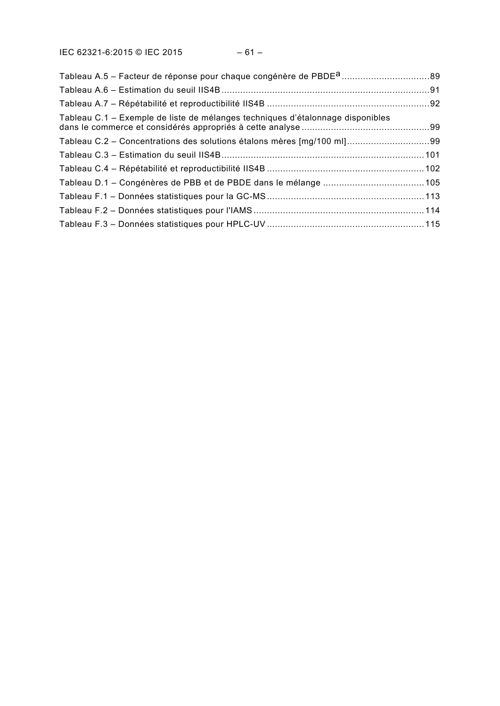| Tableau C.1 – Exemple de liste de mélanges techniques d'étalonnage disponibles |  |
|--------------------------------------------------------------------------------|--|
|                                                                                |  |
|                                                                                |  |
|                                                                                |  |
|                                                                                |  |
|                                                                                |  |
|                                                                                |  |
|                                                                                |  |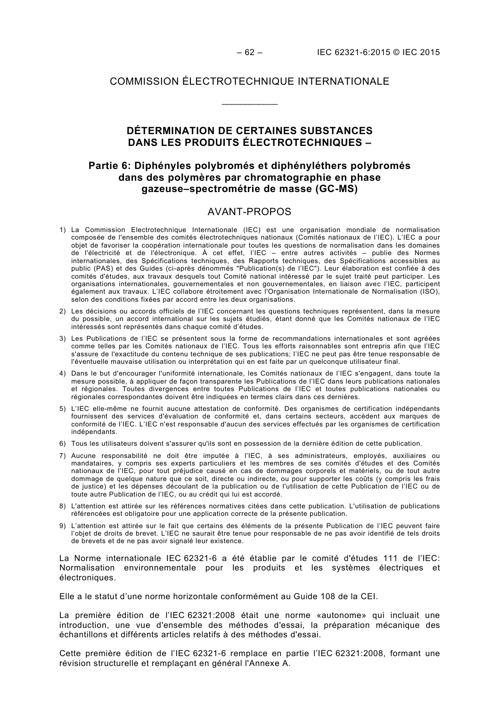## COMMISSION ÉLECTROTECHNIQUE INTERNATIONALE

 $\mathcal{L}=\mathcal{L}^{\mathcal{L}}$ 

# DÉTERMINATION DE CERTAINES SUBSTANCES DANS LES PRODUITS ÉLECTROTECHNIQUES –

## Partie 6: Diphényles polybromés et diphényléthers polybromés dans des polymères par chromatographie en phase gazeuse–spectrométrie de masse (GC-MS)

## AVANT-PROPOS

- <span id="page-14-0"></span>1) La Commission Electrotechnique Internationale (IEC) est une organisation mondiale de normalisation composée de l'ensemble des comités électrotechniques nationaux (Comités nationaux de l'IEC). L'IEC a pour objet de favoriser la coopération internationale pour toutes les questions de normalisation dans les domaines de l'électricité et de l'électronique. À cet effet, l'IEC – entre autres activités – publie des Normes internationales, des Spécifications techniques, des Rapports techniques, des Spécifications accessibles au public (PAS) et des Guides (ci-après dénommés "Publication(s) de l'IEC"). Leur élaboration est confiée à des comités d'études, aux travaux desquels tout Comité national intéressé par le sujet traité peut participer. Les organisations internationales, gouvernementales et non gouvernementales, en liaison avec l'IEC, participent également aux travaux. L'IEC collabore étroitement avec l'Organisation Internationale de Normalisation (ISO), selon des conditions fixées par accord entre les deux organisations.
- 2) Les décisions ou accords officiels de l'IEC concernant les questions techniques représentent, dans la mesure du possible, un accord international sur les sujets étudiés, étant donné que les Comités nationaux de l'IEC intéressés sont représentés dans chaque comité d'études.
- 3) Les Publications de l'IEC se présentent sous la forme de recommandations internationales et sont agréées comme telles par les Comités nationaux de l'IEC. Tous les efforts raisonnables sont entrepris afin que l'IEC s'assure de l'exactitude du contenu technique de ses publications; l'IEC ne peut pas être tenue responsable de l'éventuelle mauvaise utilisation ou interprétation qui en est faite par un quelconque utilisateur final.
- 4) Dans le but d'encourager l'uniformité internationale, les Comités nationaux de l'IEC s'engagent, dans toute la mesure possible, à appliquer de façon transparente les Publications de l'IEC dans leurs publications nationales et régionales. Toutes divergences entre toutes Publications de l'IEC et toutes publications nationales ou régionales correspondantes doivent être indiquées en termes clairs dans ces dernières.
- 5) L'IEC elle-même ne fournit aucune attestation de conformité. Des organismes de certification indépendants fournissent des services d'évaluation de conformité et, dans certains secteurs, accèdent aux marques de conformité de l'IEC. L'IEC n'est responsable d'aucun des services effectués par les organismes de certification indépendants.
- 6) Tous les utilisateurs doivent s'assurer qu'ils sont en possession de la dernière édition de cette publication.
- 7) Aucune responsabilité ne doit être imputée à l'IEC, à ses administrateurs, employés, auxiliaires ou mandataires, y compris ses experts particuliers et les membres de ses comités d'études et des Comités nationaux de l'IEC, pour tout préjudice causé en cas de dommages corporels et matériels, ou de tout autre dommage de quelque nature que ce soit, directe ou indirecte, ou pour supporter les coûts (y compris les frais de justice) et les dépenses découlant de la publication ou de l'utilisation de cette Publication de l'IEC ou de toute autre Publication de l'IEC, ou au crédit qui lui est accordé.
- 8) L'attention est attirée sur les références normatives citées dans cette publication. L'utilisation de publications référencées est obligatoire pour une application correcte de la présente publication.
- 9) L'attention est attirée sur le fait que certains des éléments de la présente Publication de l'IEC peuvent faire l'objet de droits de brevet. L'IEC ne saurait être tenue pour responsable de ne pas avoir identifié de tels droits de brevets et de ne pas avoir signalé leur existence.

La Norme internationale IEC 62321-6 a été établie par le comité d'études 111 de l'IEC: Normalisation environnementale pour les produits et les systèmes électriques et électroniques.

Elle a le statut d'une norme horizontale conformément au Guide 108 de la CEI.

La première édition de l'IEC 62321:2008 était une norme «autonome» qui incluait une introduction, une vue d'ensemble des méthodes d'essai, la préparation mécanique des échantillons et différents articles relatifs à des méthodes d'essai.

Cette première édition de l'IEC 62321-6 remplace en partie l'IEC 62321:2008, formant une révision structurelle et remplaçant en général l'Annexe A.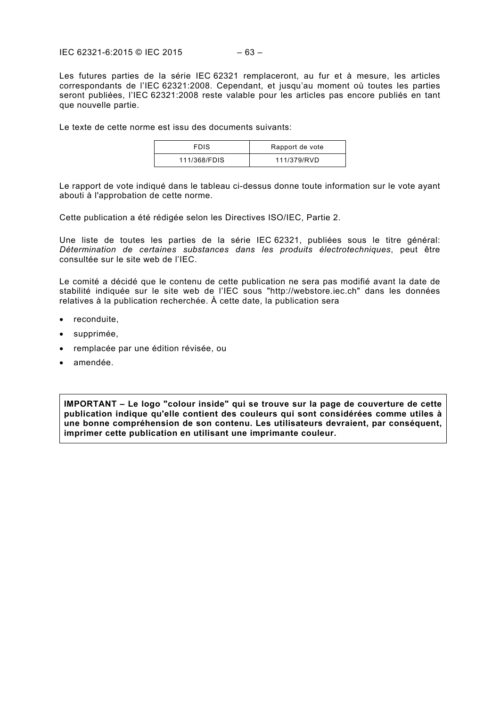Les futures parties de la série IEC 62321 remplaceront, au fur et à mesure, les articles correspondants de l'IEC 62321:2008. Cependant, et jusqu'au moment où toutes les parties seront publiées, l'IEC 62321:2008 reste valable pour les articles pas encore publiés en tant que nouvelle partie.

Le texte de cette norme est issu des documents suivants:

| <b>FDIS</b>  | Rapport de vote |
|--------------|-----------------|
| 111/368/FDIS | 111/379/RVD     |

Le rapport de vote indiqué dans le tableau ci-dessus donne toute information sur le vote ayant abouti à l'approbation de cette norme.

Cette publication a été rédigée selon les Directives ISO/IEC, Partie 2.

Une liste de toutes les parties de la série IEC 62321, publiées sous le titre général: *Détermination de certaines substances dans les produits électrotechniques*, peut être consultée sur le site web de l'IEC.

Le comité a décidé que le contenu de cette publication ne sera pas modifié avant la date de stabilité indiquée sur le site web de l'IEC sous "http://webstore.iec.ch" dans les données relatives à la publication recherchée. À cette date, la publication sera

- reconduite,
- supprimée,
- remplacée par une édition révisée, ou
- amendée.

**IMPORTANT – Le logo "colour inside" qui se trouve sur la page de couverture de cette publication indique qu'elle contient des couleurs qui sont considérées comme utiles à une bonne compréhension de son contenu. Les utilisateurs devraient, par conséquent, imprimer cette publication en utilisant une imprimante couleur.**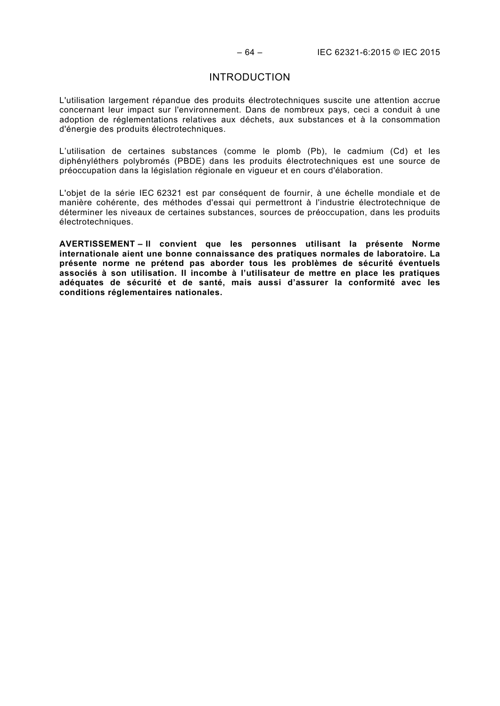#### INTRODUCTION

<span id="page-16-0"></span>L'utilisation largement répandue des produits électrotechniques suscite une attention accrue concernant leur impact sur l'environnement. Dans de nombreux pays, ceci a conduit à une adoption de réglementations relatives aux déchets, aux substances et à la consommation d'énergie des produits électrotechniques.

L'utilisation de certaines substances (comme le plomb (Pb), le cadmium (Cd) et les diphényléthers polybromés (PBDE) dans les produits électrotechniques est une source de préoccupation dans la législation régionale en vigueur et en cours d'élaboration.

L'objet de la série IEC 62321 est par conséquent de fournir, à une échelle mondiale et de manière cohérente, des méthodes d'essai qui permettront à l'industrie électrotechnique de déterminer les niveaux de certaines substances, sources de préoccupation, dans les produits électrotechniques.

**AVERTISSEMENT – Il convient que les personnes utilisant la présente Norme internationale aient une bonne connaissance des pratiques normales de laboratoire. La présente norme ne prétend pas aborder tous les problèmes de sécurité éventuels associés à son utilisation. Il incombe à l'utilisateur de mettre en place les pratiques adéquates de sécurité et de santé, mais aussi d'assurer la conformité avec les conditions réglementaires nationales.**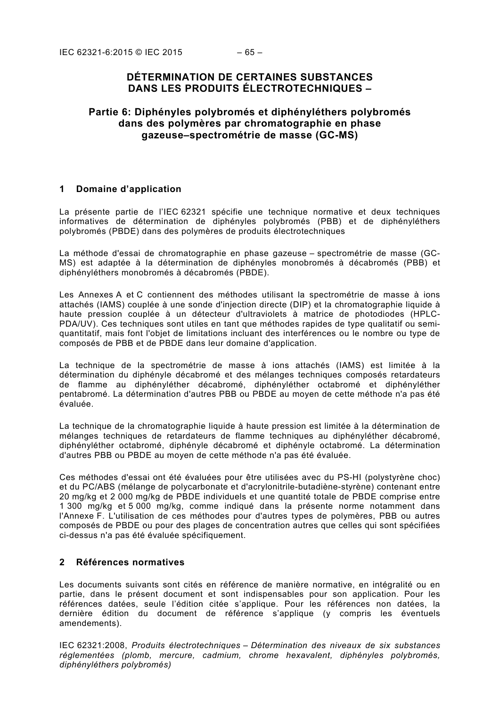# **DÉTERMINATION DE CERTAINES SUBSTANCES DANS LES PRODUITS ÉLECTROTECHNIQUES –**

# **Partie 6: Diphényles polybromés et diphényléthers polybromés dans des polymères par chromatographie en phase gazeuse–spectrométrie de masse (GC-MS)**

## <span id="page-17-0"></span>**1 Domaine d'application**

La présente partie de l'IEC 62321 spécifie une technique normative et deux techniques informatives de détermination de diphényles polybromés (PBB) et de diphényléthers polybromés (PBDE) dans des polymères de produits électrotechniques

La méthode d'essai de chromatographie en phase gazeuse – spectrométrie de masse (GC-MS) est adaptée à la détermination de diphényles monobromés à décabromés (PBB) et diphényléthers monobromés à décabromés (PBDE).

Les Annexes A et C contiennent des méthodes utilisant la spectrométrie de masse à ions attachés (IAMS) couplée à une sonde d'injection directe (DIP) et la chromatographie liquide à haute pression couplée à un détecteur d'ultraviolets à matrice de photodiodes (HPLC-PDA/UV). Ces techniques sont utiles en tant que méthodes rapides de type qualitatif ou semiquantitatif, mais font l'objet de limitations incluant des interférences ou le nombre ou type de composés de PBB et de PBDE dans leur domaine d'application.

La technique de la spectrométrie de masse à ions attachés (IAMS) est limitée à la détermination du diphényle décabromé et des mélanges techniques composés retardateurs de flamme au diphényléther décabromé, diphényléther octabromé et diphényléther pentabromé. La détermination d'autres PBB ou PBDE au moyen de cette méthode n'a pas été évaluée.

La technique de la chromatographie liquide à haute pression est limitée à la détermination de mélanges techniques de retardateurs de flamme techniques au diphényléther décabromé, diphényléther octabromé, diphényle décabromé et diphényle octabromé. La détermination d'autres PBB ou PBDE au moyen de cette méthode n'a pas été évaluée.

Ces méthodes d'essai ont été évaluées pour être utilisées avec du PS-HI (polystyrène choc) et du PC/ABS (mélange de polycarbonate et d'acrylonitrile-butadiène-styrène) contenant entre 20 mg/kg et 2 000 mg/kg de PBDE individuels et une quantité totale de PBDE comprise entre 1 300 mg/kg et 5 000 mg/kg, comme indiqué dans la présente norme notamment dans l'Annexe F. L'utilisation de ces méthodes pour d'autres types de polymères, PBB ou autres composés de PBDE ou pour des plages de concentration autres que celles qui sont spécifiées ci-dessus n'a pas été évaluée spécifiquement.

### <span id="page-17-1"></span>**2 Références normatives**

Les documents suivants sont cités en référence de manière normative, en intégralité ou en partie, dans le présent document et sont indispensables pour son application. Pour les références datées, seule l'édition citée s'applique. Pour les références non datées, la dernière édition du document de référence s'applique (y compris les éventuels amendements).

IEC 62321:2008, *Produits électrotechniques – Détermination des niveaux de six substances réglementées (plomb, mercure, cadmium, chrome hexavalent, diphényles polybromés, diphényléthers polybromés)*